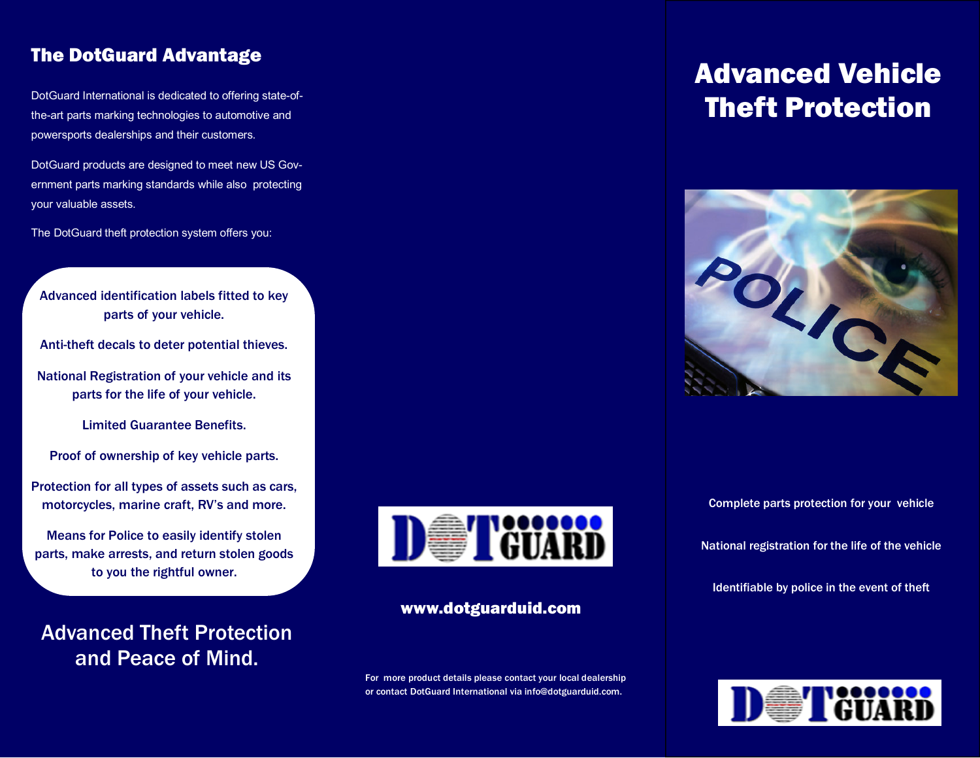## The DotGuard Advantage

DotGuard International is dedicated to offering state-ofthe-art parts marking technologies to automotive and powersports dealerships and their customers.

DotGuard products are designed to meet new US Government parts marking standards while also protecting your valuable assets.

The DotGuard theft protection system offers you:

#### Advanced identification labels fitted to key parts of your vehicle.

Anti-theft decals to deter potential thieves.

National Registration of your vehicle and its parts for the life of your vehicle.

Limited Guarantee Benefits.

Proof of ownership of key vehicle parts.

Protection for all types of assets such as cars, motorcycles, marine craft, RV's and more.

Means for Police to easily identify stolen parts, make arrests, and return stolen goods to you the rightful owner.

Advanced Theft Protection and Peace of Mind.



#### www.dotguarduid.com

For more product details please contact your local dealership or contact DotGuard International via info@dotguarduid.com.

# Advanced Vehicle Theft Protection



Complete parts protection for your vehicle

National registration for the life of the vehicle

Identifiable by police in the event of theft